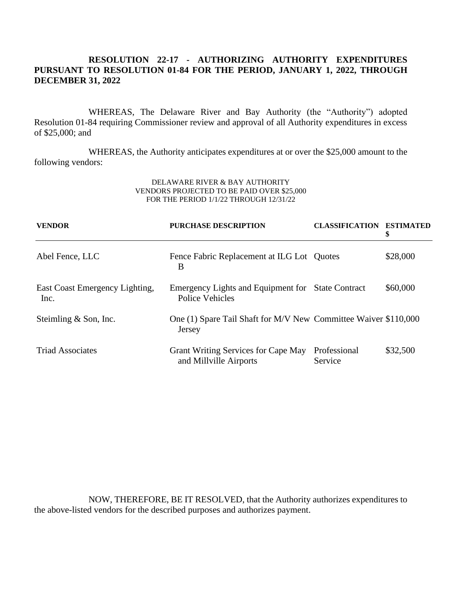# **RESOLUTION 22-17 - AUTHORIZING AUTHORITY EXPENDITURES PURSUANT TO RESOLUTION 01-84 FOR THE PERIOD, JANUARY 1, 2022, THROUGH DECEMBER 31, 2022**

WHEREAS, The Delaware River and Bay Authority (the "Authority") adopted Resolution 01-84 requiring Commissioner review and approval of all Authority expenditures in excess of \$25,000; and

WHEREAS, the Authority anticipates expenditures at or over the \$25,000 amount to the following vendors:

#### DELAWARE RIVER & BAY AUTHORITY VENDORS PROJECTED TO BE PAID OVER \$25,000 FOR THE PERIOD 1/1/22 THROUGH 12/31/22

| <b>VENDOR</b>                          | <b>PURCHASE DESCRIPTION</b>                                               | <b>CLASSIFICATION</b>   | <b>ESTIMATED</b><br>\$ |
|----------------------------------------|---------------------------------------------------------------------------|-------------------------|------------------------|
| Abel Fence, LLC                        | Fence Fabric Replacement at ILG Lot Quotes<br>B                           |                         | \$28,000               |
| East Coast Emergency Lighting,<br>Inc. | Emergency Lights and Equipment for State Contract<br>Police Vehicles      |                         | \$60,000               |
| Steimling & Son, Inc.                  | One (1) Spare Tail Shaft for M/V New Committee Waiver \$110,000<br>Jersey |                         |                        |
| <b>Triad Associates</b>                | Grant Writing Services for Cape May<br>and Millville Airports             | Professional<br>Service | \$32,500               |

NOW, THEREFORE, BE IT RESOLVED, that the Authority authorizes expenditures to the above-listed vendors for the described purposes and authorizes payment.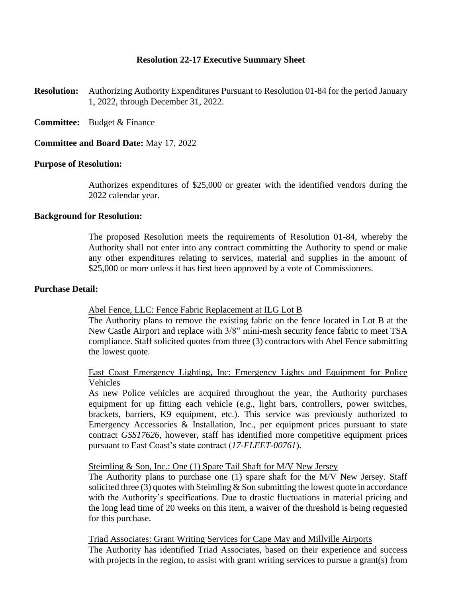### **Resolution 22-17 Executive Summary Sheet**

- **Resolution:** Authorizing Authority Expenditures Pursuant to Resolution 01-84 for the period January 1, 2022, through December 31, 2022.
- **Committee:** Budget & Finance

### **Committee and Board Date:** May 17, 2022

#### **Purpose of Resolution:**

Authorizes expenditures of \$25,000 or greater with the identified vendors during the 2022 calendar year.

#### **Background for Resolution:**

The proposed Resolution meets the requirements of Resolution 01-84, whereby the Authority shall not enter into any contract committing the Authority to spend or make any other expenditures relating to services, material and supplies in the amount of \$25,000 or more unless it has first been approved by a vote of Commissioners.

#### **Purchase Detail:**

#### Abel Fence, LLC: Fence Fabric Replacement at ILG Lot B

The Authority plans to remove the existing fabric on the fence located in Lot B at the New Castle Airport and replace with 3/8" mini-mesh security fence fabric to meet TSA compliance. Staff solicited quotes from three (3) contractors with Abel Fence submitting the lowest quote.

### East Coast Emergency Lighting, Inc: Emergency Lights and Equipment for Police Vehicles

As new Police vehicles are acquired throughout the year, the Authority purchases equipment for up fitting each vehicle (e.g., light bars, controllers, power switches, brackets, barriers, K9 equipment, etc.). This service was previously authorized to Emergency Accessories & Installation, Inc., per equipment prices pursuant to state contract *GSS17626,* however, staff has identified more competitive equipment prices pursuant to East Coast's state contract (*17-FLEET-00761*).

### Steimling & Son, Inc.: One (1) Spare Tail Shaft for M/V New Jersey

The Authority plans to purchase one (1) spare shaft for the M/V New Jersey. Staff solicited three (3) quotes with Steimling  $\&$  Son submitting the lowest quote in accordance with the Authority's specifications. Due to drastic fluctuations in material pricing and the long lead time of 20 weeks on this item, a waiver of the threshold is being requested for this purchase.

Triad Associates: Grant Writing Services for Cape May and Millville Airports The Authority has identified Triad Associates, based on their experience and success with projects in the region, to assist with grant writing services to pursue a grant(s) from